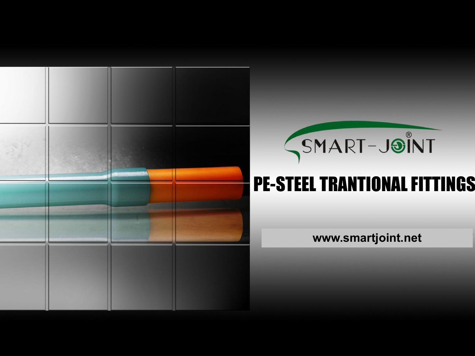



# PE-STEEL TRANTIONAL FITTINGS

**www.smartjoint.net**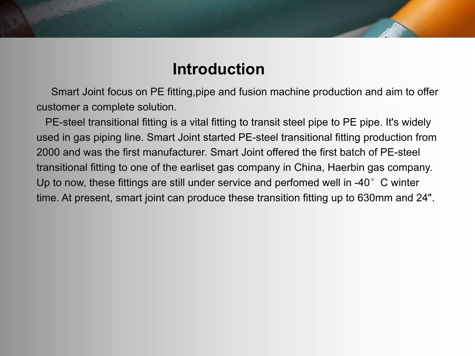# **Introduction**

Smart Joint focus on PE fitting,pipe and fusion machine production and aim to offer customer a complete solution.

PE-steel transitional fitting is a vital fitting to transit steel pipe to PE pipe. It's widely used in gas piping line. Smart Joint started PE-steel transitional fitting production from 2000 and was the first manufacturer. Smart Joint offered the first batch of PE-steel transitional fitting to one of the earliset gas company in China, Haerbin gas company. Up to now, these fittings are still under service and perfomed well in -40 $^{\circ}$  C winter time. At present, smart joint can produce these transition fitting up to 630mm and 24".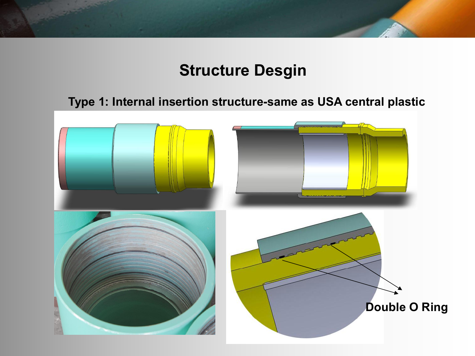# **Structure Desgin**

#### **Type 1: Internal insertion structure-same as USA central plastic**

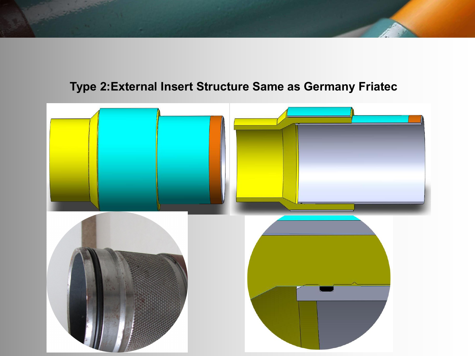#### **Type 2:External Insert Structure Same as Germany Friatec**

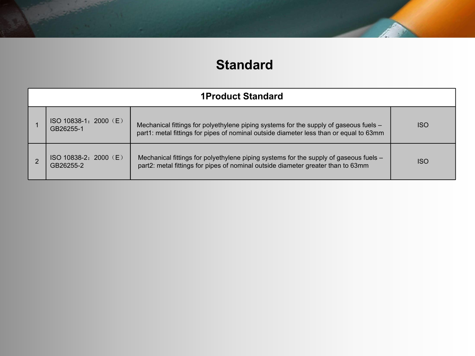## **Standard**

|                                    | <b>1Product Standard</b>                                                                                                                                                        |            |
|------------------------------------|---------------------------------------------------------------------------------------------------------------------------------------------------------------------------------|------------|
| ISO 10838-1: 2000 (E)<br>GB26255-1 | Mechanical fittings for polyethylene piping systems for the supply of gaseous fuels -<br>part1: metal fittings for pipes of nominal outside diameter less than or equal to 63mm | <b>ISO</b> |
| ISO 10838-2: 2000 (E)<br>GB26255-2 | Mechanical fittings for polyethylene piping systems for the supply of gaseous fuels -<br>part2: metal fittings for pipes of nominal outside diameter greater than to 63mm       | <b>ISO</b> |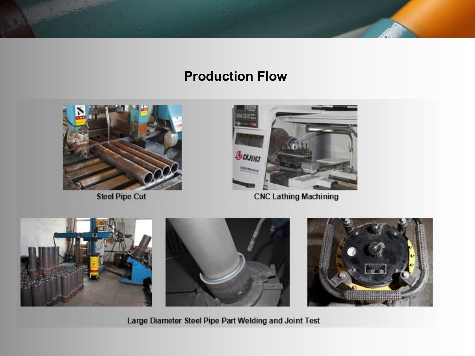#### **Production Flow**







**Large Diameter Steel Pipe Part Welding and Joint Test**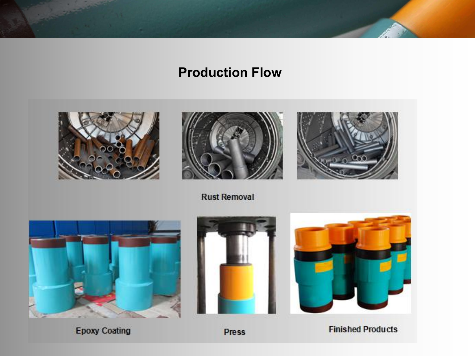## **Production Flow**





**Rust Removal** 





Press

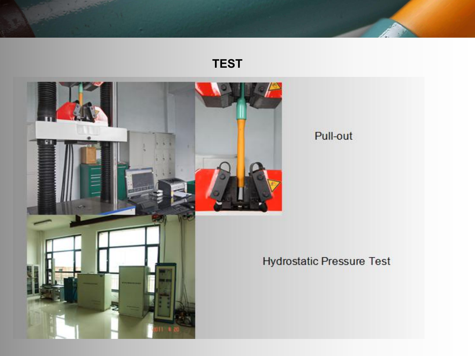#### **TEST**



#### Pull-out

## Hydrostatic Pressure Test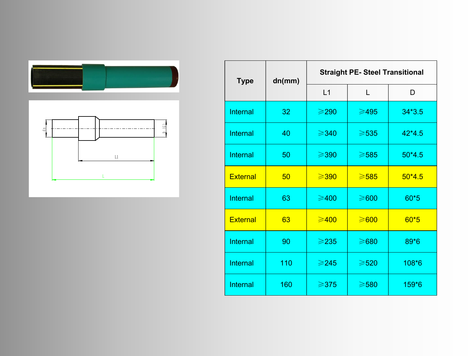



| <b>Type</b>     | dn(mm) | <b>Straight PE- Steel Transitional</b> |                 |          |  |  |
|-----------------|--------|----------------------------------------|-----------------|----------|--|--|
|                 |        | L1                                     |                 | D        |  |  |
| <b>Internal</b> | 32     | $\geq$ 290                             | $\geqslant$ 495 | $34*3.5$ |  |  |
| <b>Internal</b> | 40     | $\geqslant$ 340                        | $\geqslant$ 535 | $42*4.5$ |  |  |
| <b>Internal</b> | 50     | $\geqslant$ 390                        | $\geqslant$ 585 | $50*4.5$ |  |  |
| <b>External</b> | 50     | $\geqslant$ 390                        | $\geqslant$ 585 | $50*4.5$ |  |  |
| <b>Internal</b> | 63     | $\geqslant$ 400                        | $\geqslant 600$ | $60*5$   |  |  |
| <b>External</b> | 63     | $\geqslant$ 400                        | $\geq 600$      | $60*5$   |  |  |
| <b>Internal</b> | 90     | $\geq$ 235                             | $\geqslant$ 680 | 89*6     |  |  |
| Internal        | 110    | $\geqslant$ 245                        | $\geqslant520$  | 108*6    |  |  |
| <b>Internal</b> | 160    | $\geqslant$ 375                        | $\geqslant$ 580 | 159*6    |  |  |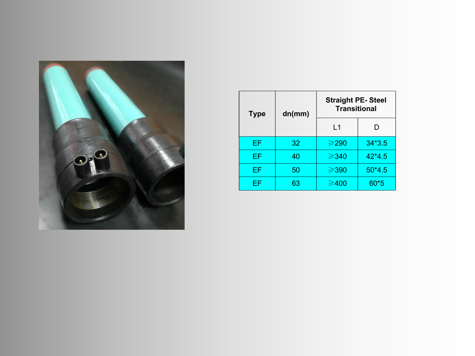

| <b>Type</b> | dn(mm) | <b>Straight PE-Steel</b><br><b>Transitional</b> |          |  |
|-------------|--------|-------------------------------------------------|----------|--|
|             |        | L <sub>1</sub>                                  | D        |  |
| EF.         | 32     | $\geqslant$ 290                                 | $34*3.5$ |  |
| EF.         | 40     | $\geqslant$ 340                                 | $42*4.5$ |  |
| EF          | 50     | $\geqslant$ 390                                 | $50*4.5$ |  |
| EF          | 63     | $\geqslant$ 400                                 | $60*5$   |  |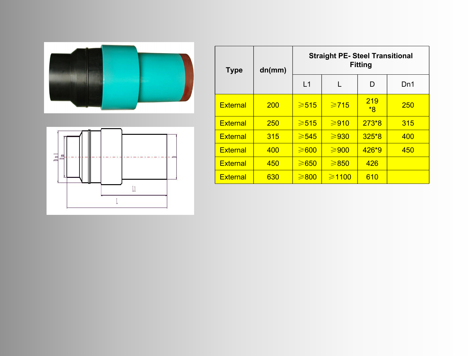



| <b>Type</b>     | dn(mm)     | <b>Straight PE- Steel Transitional</b><br><b>Fitting</b> |                  |           |            |  |
|-----------------|------------|----------------------------------------------------------|------------------|-----------|------------|--|
|                 |            | L1                                                       |                  | D         | Dn1        |  |
| <b>External</b> | <b>200</b> | $\geqslant 515$                                          | $\geqslant$ 715  | 219<br>*8 | <b>250</b> |  |
| <b>External</b> | <b>250</b> | $\geqslant 515$                                          | $\geqslant$ 910  | $273*8$   | 315        |  |
| <b>External</b> | 315        | $\geqslant$ 545                                          | $\geq 930$       | $325*8$   | 400        |  |
| <b>External</b> | 400        | $\geq 600$                                               | $\geqslant$ 900  | $426*9$   | 450        |  |
| <b>External</b> | 450        | $\geq 650$                                               | $\geq 850$       | 426       |            |  |
| <b>External</b> | 630        | $\geq 800$                                               | $\geqslant$ 1100 | 610       |            |  |